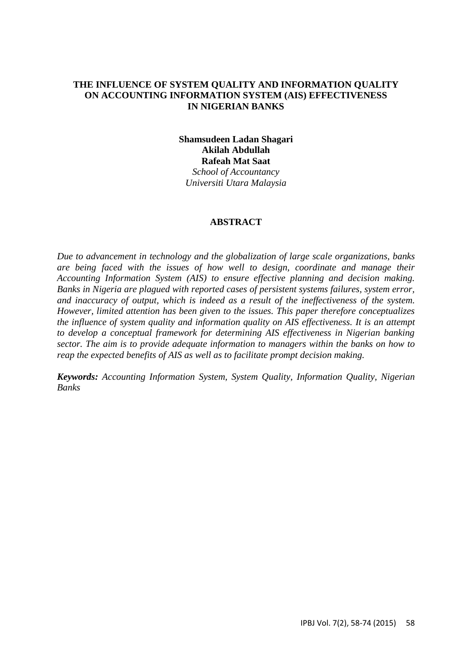#### **THE INFLUENCE OF SYSTEM QUALITY AND INFORMATION QUALITY ON ACCOUNTING INFORMATION SYSTEM (AIS) EFFECTIVENESS IN NIGERIAN BANKS**

**Shamsudeen Ladan Shagari Akilah Abdullah Rafeah Mat Saat** *School of Accountancy Universiti Utara Malaysia*

#### **ABSTRACT**

*Due to advancement in technology and the globalization of large scale organizations, banks are being faced with the issues of how well to design, coordinate and manage their Accounting Information System (AIS) to ensure effective planning and decision making. Banks in Nigeria are plagued with reported cases of persistent systems failures, system error, and inaccuracy of output, which is indeed as a result of the ineffectiveness of the system. However, limited attention has been given to the issues. This paper therefore conceptualizes the influence of system quality and information quality on AIS effectiveness. It is an attempt to develop a conceptual framework for determining AIS effectiveness in Nigerian banking sector. The aim is to provide adequate information to managers within the banks on how to reap the expected benefits of AIS as well as to facilitate prompt decision making.*

*Keywords: Accounting Information System, System Quality, Information Quality, Nigerian Banks*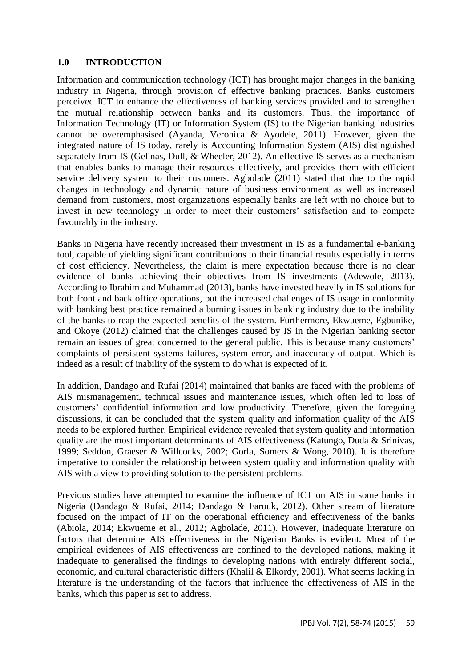#### **1.0 INTRODUCTION**

Information and communication technology (ICT) has brought major changes in the banking industry in Nigeria, through provision of effective banking practices. Banks customers perceived ICT to enhance the effectiveness of banking services provided and to strengthen the mutual relationship between banks and its customers. Thus, the importance of Information Technology (IT) or Information System (IS) to the Nigerian banking industries cannot be overemphasised (Ayanda, Veronica & Ayodele, 2011). However, given the integrated nature of IS today, rarely is Accounting Information System (AIS) distinguished separately from IS (Gelinas, Dull, & Wheeler, 2012). An effective IS serves as a mechanism that enables banks to manage their resources effectively, and provides them with efficient service delivery system to their customers. Agbolade (2011) stated that due to the rapid changes in technology and dynamic nature of business environment as well as increased demand from customers, most organizations especially banks are left with no choice but to invest in new technology in order to meet their customers' satisfaction and to compete favourably in the industry.

Banks in Nigeria have recently increased their investment in IS as a fundamental e-banking tool, capable of yielding significant contributions to their financial results especially in terms of cost efficiency. Nevertheless, the claim is mere expectation because there is no clear evidence of banks achieving their objectives from IS investments (Adewole, 2013). According to Ibrahim and Muhammad (2013), banks have invested heavily in IS solutions for both front and back office operations, but the increased challenges of IS usage in conformity with banking best practice remained a burning issues in banking industry due to the inability of the banks to reap the expected benefits of the system. Furthermore, Ekwueme, Egbunike, and Okoye (2012) claimed that the challenges caused by IS in the Nigerian banking sector remain an issues of great concerned to the general public. This is because many customers' complaints of persistent systems failures, system error, and inaccuracy of output. Which is indeed as a result of inability of the system to do what is expected of it.

In addition, Dandago and Rufai (2014) maintained that banks are faced with the problems of AIS mismanagement, technical issues and maintenance issues, which often led to loss of customers' confidential information and low productivity. Therefore, given the foregoing discussions, it can be concluded that the system quality and information quality of the AIS needs to be explored further. Empirical evidence revealed that system quality and information quality are the most important determinants of AIS effectiveness (Katungo, Duda & Srinivas, 1999; Seddon, Graeser & Willcocks, 2002; Gorla, Somers & Wong, 2010). It is therefore imperative to consider the relationship between system quality and information quality with AIS with a view to providing solution to the persistent problems.

Previous studies have attempted to examine the influence of ICT on AIS in some banks in Nigeria (Dandago & Rufai, 2014; Dandago & Farouk, 2012). Other stream of literature focused on the impact of IT on the operational efficiency and effectiveness of the banks (Abiola, 2014; Ekwueme et al., 2012; Agbolade, 2011). However, inadequate literature on factors that determine AIS effectiveness in the Nigerian Banks is evident. Most of the empirical evidences of AIS effectiveness are confined to the developed nations, making it inadequate to generalised the findings to developing nations with entirely different social, economic, and cultural characteristic differs (Khalil & Elkordy, 2001). What seems lacking in literature is the understanding of the factors that influence the effectiveness of AIS in the banks, which this paper is set to address.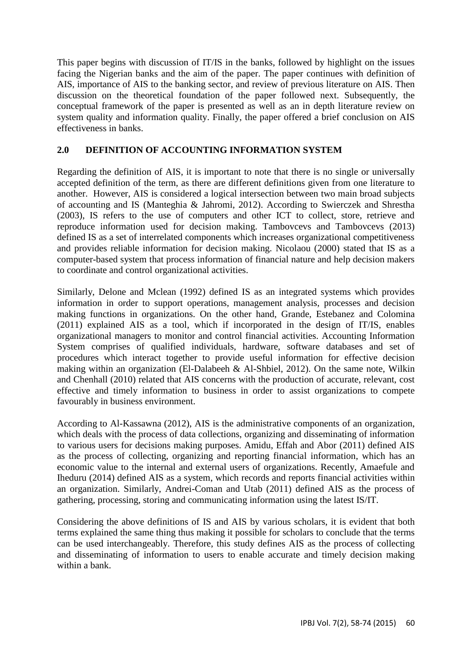This paper begins with discussion of IT/IS in the banks, followed by highlight on the issues facing the Nigerian banks and the aim of the paper. The paper continues with definition of AIS, importance of AIS to the banking sector, and review of previous literature on AIS. Then discussion on the theoretical foundation of the paper followed next. Subsequently, the conceptual framework of the paper is presented as well as an in depth literature review on system quality and information quality. Finally, the paper offered a brief conclusion on AIS effectiveness in banks.

## **2.0 DEFINITION OF ACCOUNTING INFORMATION SYSTEM**

Regarding the definition of AIS, it is important to note that there is no single or universally accepted definition of the term, as there are different definitions given from one literature to another. However, AIS is considered a logical intersection between two main broad subjects of accounting and IS (Manteghia & Jahromi, 2012). According to Swierczek and Shrestha (2003), IS refers to the use of computers and other ICT to collect, store, retrieve and reproduce information used for decision making. Tambovcevs and Tambovcevs (2013) defined IS as a set of interrelated components which increases organizational competitiveness and provides reliable information for decision making. Nicolaou (2000) stated that IS as a computer-based system that process information of financial nature and help decision makers to coordinate and control organizational activities.

Similarly, Delone and Mclean (1992) defined IS as an integrated systems which provides information in order to support operations, management analysis, processes and decision making functions in organizations. On the other hand, Grande, Estebanez and Colomina (2011) explained AIS as a tool, which if incorporated in the design of IT/IS, enables organizational managers to monitor and control financial activities. Accounting Information System comprises of qualified individuals, hardware, software databases and set of procedures which interact together to provide useful information for effective decision making within an organization (El-Dalabeeh & Al-Shbiel, 2012). On the same note, Wilkin and Chenhall (2010) related that AIS concerns with the production of accurate, relevant, cost effective and timely information to business in order to assist organizations to compete favourably in business environment.

According to Al-Kassawna (2012), AIS is the administrative components of an organization, which deals with the process of data collections, organizing and disseminating of information to various users for decisions making purposes. Amidu, Effah and Abor (2011) defined AIS as the process of collecting, organizing and reporting financial information, which has an economic value to the internal and external users of organizations. Recently, Amaefule and Iheduru (2014) defined AIS as a system, which records and reports financial activities within an organization. Similarly, Andrei-Coman and Utab (2011) defined AIS as the process of gathering, processing, storing and communicating information using the latest IS/IT.

Considering the above definitions of IS and AIS by various scholars, it is evident that both terms explained the same thing thus making it possible for scholars to conclude that the terms can be used interchangeably. Therefore, this study defines AIS as the process of collecting and disseminating of information to users to enable accurate and timely decision making within a bank.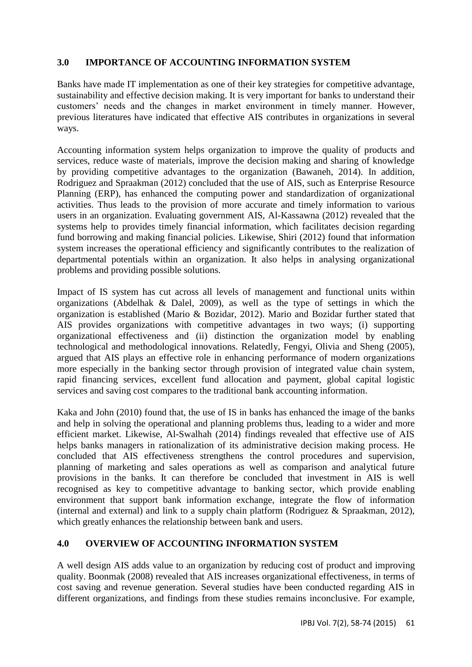## **3.0 IMPORTANCE OF ACCOUNTING INFORMATION SYSTEM**

Banks have made IT implementation as one of their key strategies for competitive advantage, sustainability and effective decision making. It is very important for banks to understand their customers' needs and the changes in market environment in timely manner. However, previous literatures have indicated that effective AIS contributes in organizations in several ways.

Accounting information system helps organization to improve the quality of products and services, reduce waste of materials, improve the decision making and sharing of knowledge by providing competitive advantages to the organization (Bawaneh, 2014). In addition, Rodriguez and Spraakman (2012) concluded that the use of AIS, such as Enterprise Resource Planning (ERP), has enhanced the computing power and standardization of organizational activities. Thus leads to the provision of more accurate and timely information to various users in an organization. Evaluating government AIS, Al-Kassawna (2012) revealed that the systems help to provides timely financial information, which facilitates decision regarding fund borrowing and making financial policies. Likewise, Shiri (2012) found that information system increases the operational efficiency and significantly contributes to the realization of departmental potentials within an organization. It also helps in analysing organizational problems and providing possible solutions.

Impact of IS system has cut across all levels of management and functional units within organizations (Abdelhak & Dalel, 2009), as well as the type of settings in which the organization is established (Mario & Bozidar, 2012). Mario and Bozidar further stated that AIS provides organizations with competitive advantages in two ways; (i) supporting organizational effectiveness and (ii) distinction the organization model by enabling technological and methodological innovations. Relatedly, Fengyi, Olivia and Sheng (2005), argued that AIS plays an effective role in enhancing performance of modern organizations more especially in the banking sector through provision of integrated value chain system, rapid financing services, excellent fund allocation and payment, global capital logistic services and saving cost compares to the traditional bank accounting information.

Kaka and John (2010) found that, the use of IS in banks has enhanced the image of the banks and help in solving the operational and planning problems thus, leading to a wider and more efficient market. Likewise, Al-Swalhah (2014) findings revealed that effective use of AIS helps banks managers in rationalization of its administrative decision making process. He concluded that AIS effectiveness strengthens the control procedures and supervision, planning of marketing and sales operations as well as comparison and analytical future provisions in the banks. It can therefore be concluded that investment in AIS is well recognised as key to competitive advantage to banking sector, which provide enabling environment that support bank information exchange, integrate the flow of information (internal and external) and link to a supply chain platform (Rodriguez & Spraakman, 2012), which greatly enhances the relationship between bank and users.

### **4.0 OVERVIEW OF ACCOUNTING INFORMATION SYSTEM**

A well design AIS adds value to an organization by reducing cost of product and improving quality. Boonmak (2008) revealed that AIS increases organizational effectiveness, in terms of cost saving and revenue generation. Several studies have been conducted regarding AIS in different organizations, and findings from these studies remains inconclusive. For example,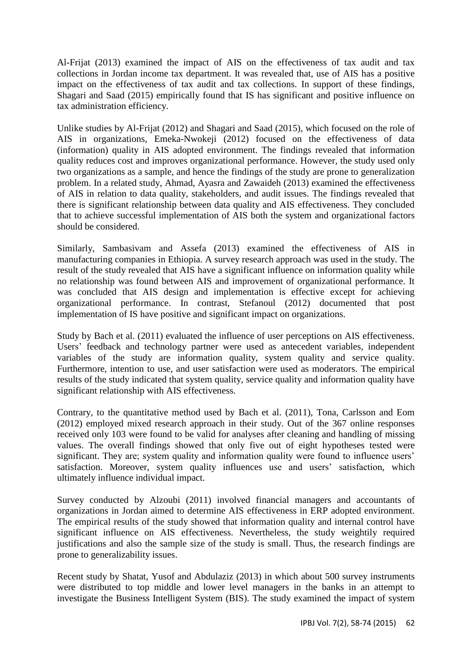Al-Frijat (2013) examined the impact of AIS on the effectiveness of tax audit and tax collections in Jordan income tax department. It was revealed that, use of AIS has a positive impact on the effectiveness of tax audit and tax collections. In support of these findings, Shagari and Saad (2015) empirically found that IS has significant and positive influence on tax administration efficiency.

Unlike studies by Al-Frijat (2012) and Shagari and Saad (2015), which focused on the role of AIS in organizations, Emeka-Nwokeji (2012) focused on the effectiveness of data (information) quality in AIS adopted environment. The findings revealed that information quality reduces cost and improves organizational performance. However, the study used only two organizations as a sample, and hence the findings of the study are prone to generalization problem. In a related study, Ahmad, Ayasra and Zawaideh (2013) examined the effectiveness of AIS in relation to data quality, stakeholders, and audit issues. The findings revealed that there is significant relationship between data quality and AIS effectiveness. They concluded that to achieve successful implementation of AIS both the system and organizational factors should be considered.

Similarly, Sambasivam and Assefa (2013) examined the effectiveness of AIS in manufacturing companies in Ethiopia. A survey research approach was used in the study. The result of the study revealed that AIS have a significant influence on information quality while no relationship was found between AIS and improvement of organizational performance. It was concluded that AIS design and implementation is effective except for achieving organizational performance. In contrast, Stefanoul (2012) documented that post implementation of IS have positive and significant impact on organizations.

Study by Bach et al. (2011) evaluated the influence of user perceptions on AIS effectiveness. Users' feedback and technology partner were used as antecedent variables, independent variables of the study are information quality, system quality and service quality. Furthermore, intention to use, and user satisfaction were used as moderators. The empirical results of the study indicated that system quality, service quality and information quality have significant relationship with AIS effectiveness.

Contrary, to the quantitative method used by Bach et al. (2011), Tona, Carlsson and Eom (2012) employed mixed research approach in their study. Out of the 367 online responses received only 103 were found to be valid for analyses after cleaning and handling of missing values. The overall findings showed that only five out of eight hypotheses tested were significant. They are; system quality and information quality were found to influence users' satisfaction. Moreover, system quality influences use and users' satisfaction, which ultimately influence individual impact.

Survey conducted by Alzoubi (2011) involved financial managers and accountants of organizations in Jordan aimed to determine AIS effectiveness in ERP adopted environment. The empirical results of the study showed that information quality and internal control have significant influence on AIS effectiveness. Nevertheless, the study weightily required justifications and also the sample size of the study is small. Thus, the research findings are prone to generalizability issues.

Recent study by Shatat, Yusof and Abdulaziz (2013) in which about 500 survey instruments were distributed to top middle and lower level managers in the banks in an attempt to investigate the Business Intelligent System (BIS). The study examined the impact of system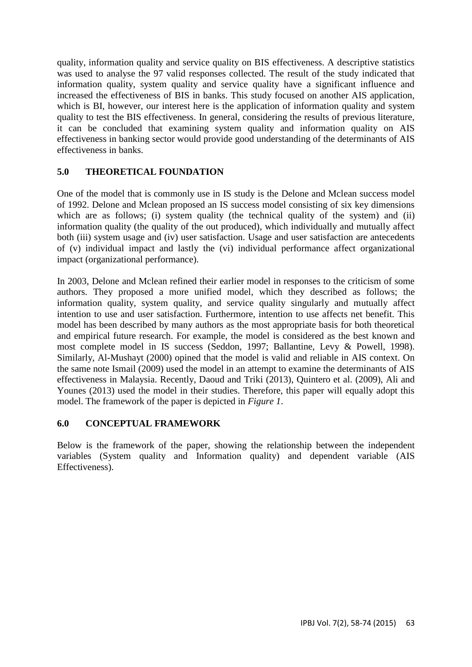quality, information quality and service quality on BIS effectiveness. A descriptive statistics was used to analyse the 97 valid responses collected. The result of the study indicated that information quality, system quality and service quality have a significant influence and increased the effectiveness of BIS in banks. This study focused on another AIS application, which is BI, however, our interest here is the application of information quality and system quality to test the BIS effectiveness. In general, considering the results of previous literature, it can be concluded that examining system quality and information quality on AIS effectiveness in banking sector would provide good understanding of the determinants of AIS effectiveness in banks.

## **5.0 THEORETICAL FOUNDATION**

One of the model that is commonly use in IS study is the Delone and Mclean success model of 1992. Delone and Mclean proposed an IS success model consisting of six key dimensions which are as follows; (i) system quality (the technical quality of the system) and (ii) information quality (the quality of the out produced), which individually and mutually affect both (iii) system usage and (iv) user satisfaction. Usage and user satisfaction are antecedents of (v) individual impact and lastly the (vi) individual performance affect organizational impact (organizational performance).

In 2003, Delone and Mclean refined their earlier model in responses to the criticism of some authors. They proposed a more unified model, which they described as follows; the information quality, system quality, and service quality singularly and mutually affect intention to use and user satisfaction. Furthermore, intention to use affects net benefit. This model has been described by many authors as the most appropriate basis for both theoretical and empirical future research. For example, the model is considered as the best known and most complete model in IS success (Seddon, 1997; Ballantine, Levy & Powell, 1998). Similarly, Al-Mushayt (2000) opined that the model is valid and reliable in AIS context. On the same note Ismail (2009) used the model in an attempt to examine the determinants of AIS effectiveness in Malaysia. Recently, Daoud and Triki (2013), Quintero et al. (2009), Ali and Younes (2013) used the model in their studies. Therefore, this paper will equally adopt this model. The framework of the paper is depicted in *Figure 1*.

### **6.0 CONCEPTUAL FRAMEWORK**

Below is the framework of the paper, showing the relationship between the independent variables (System quality and Information quality) and dependent variable (AIS Effectiveness).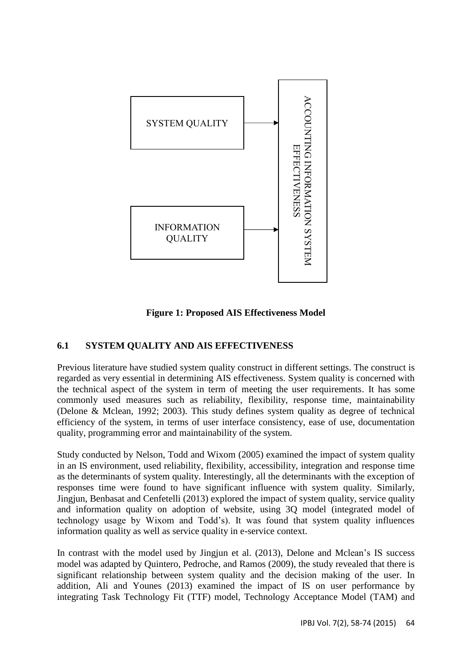

**Figure 1: Proposed AIS Effectiveness Model**

# **6.1 SYSTEM QUALITY AND AIS EFFECTIVENESS**

Previous literature have studied system quality construct in different settings. The construct is regarded as very essential in determining AIS effectiveness. System quality is concerned with the technical aspect of the system in term of meeting the user requirements. It has some commonly used measures such as reliability, flexibility, response time, maintainability (Delone & Mclean, 1992; 2003). This study defines system quality as degree of technical efficiency of the system, in terms of user interface consistency, ease of use, documentation quality, programming error and maintainability of the system.

Study conducted by Nelson, Todd and Wixom (2005) examined the impact of system quality in an IS environment, used reliability, flexibility, accessibility, integration and response time as the determinants of system quality. Interestingly, all the determinants with the exception of responses time were found to have significant influence with system quality. Similarly, Jingjun, Benbasat and Cenfetelli (2013) explored the impact of system quality, service quality and information quality on adoption of website, using 3Q model (integrated model of technology usage by Wixom and Todd's). It was found that system quality influences information quality as well as service quality in e-service context.

In contrast with the model used by Jingjun et al. (2013), Delone and Mclean's IS success model was adapted by Quintero, Pedroche, and Ramos (2009), the study revealed that there is significant relationship between system quality and the decision making of the user. In addition, Ali and Younes (2013) examined the impact of IS on user performance by integrating Task Technology Fit (TTF) model, Technology Acceptance Model (TAM) and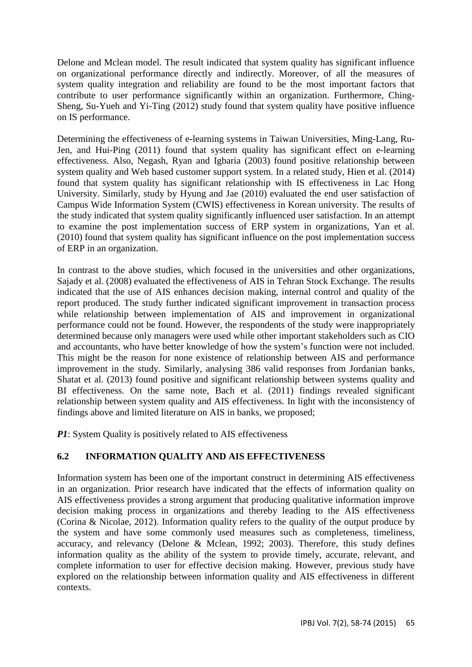Delone and Mclean model. The result indicated that system quality has significant influence on organizational performance directly and indirectly. Moreover, of all the measures of system quality integration and reliability are found to be the most important factors that contribute to user performance significantly within an organization. Furthermore, Ching-Sheng, Su-Yueh and Yi-Ting (2012) study found that system quality have positive influence on IS performance.

Determining the effectiveness of e-learning systems in Taiwan Universities, Ming-Lang, Ru-Jen, and Hui-Ping (2011) found that system quality has significant effect on e-learning effectiveness. Also, Negash, Ryan and Igbaria (2003) found positive relationship between system quality and Web based customer support system. In a related study, Hien et al. (2014) found that system quality has significant relationship with IS effectiveness in Lac Hong University. Similarly, study by Hyung and Jae (2010) evaluated the end user satisfaction of Campus Wide Information System (CWIS) effectiveness in Korean university. The results of the study indicated that system quality significantly influenced user satisfaction. In an attempt to examine the post implementation success of ERP system in organizations, Yan et al. (2010) found that system quality has significant influence on the post implementation success of ERP in an organization.

In contrast to the above studies, which focused in the universities and other organizations, Sajady et al. (2008) evaluated the effectiveness of AIS in Tehran Stock Exchange. The results indicated that the use of AIS enhances decision making, internal control and quality of the report produced. The study further indicated significant improvement in transaction process while relationship between implementation of AIS and improvement in organizational performance could not be found. However, the respondents of the study were inappropriately determined because only managers were used while other important stakeholders such as CIO and accountants, who have better knowledge of how the system's function were not included. This might be the reason for none existence of relationship between AIS and performance improvement in the study. Similarly, analysing 386 valid responses from Jordanian banks, Shatat et al. (2013) found positive and significant relationship between systems quality and BI effectiveness. On the same note, Bach et al. (2011) findings revealed significant relationship between system quality and AIS effectiveness. In light with the inconsistency of findings above and limited literature on AIS in banks, we proposed;

*P1*: System Quality is positively related to AIS effectiveness

# **6.2 INFORMATION QUALITY AND AIS EFFECTIVENESS**

Information system has been one of the important construct in determining AIS effectiveness in an organization. Prior research have indicated that the effects of information quality on AIS effectiveness provides a strong argument that producing qualitative information improve decision making process in organizations and thereby leading to the AIS effectiveness (Corina & Nicolae, 2012). Information quality refers to the quality of the output produce by the system and have some commonly used measures such as completeness, timeliness, accuracy, and relevancy (Delone & Mclean, 1992; 2003). Therefore, this study defines information quality as the ability of the system to provide timely, accurate, relevant, and complete information to user for effective decision making. However, previous study have explored on the relationship between information quality and AIS effectiveness in different contexts.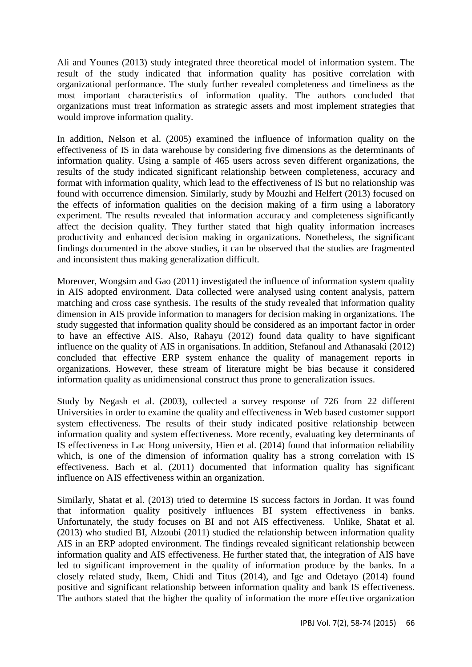Ali and Younes (2013) study integrated three theoretical model of information system. The result of the study indicated that information quality has positive correlation with organizational performance. The study further revealed completeness and timeliness as the most important characteristics of information quality. The authors concluded that organizations must treat information as strategic assets and most implement strategies that would improve information quality.

In addition, Nelson et al. (2005) examined the influence of information quality on the effectiveness of IS in data warehouse by considering five dimensions as the determinants of information quality. Using a sample of 465 users across seven different organizations, the results of the study indicated significant relationship between completeness, accuracy and format with information quality, which lead to the effectiveness of IS but no relationship was found with occurrence dimension. Similarly, study by Mouzhi and Helfert (2013) focused on the effects of information qualities on the decision making of a firm using a laboratory experiment. The results revealed that information accuracy and completeness significantly affect the decision quality. They further stated that high quality information increases productivity and enhanced decision making in organizations. Nonetheless, the significant findings documented in the above studies, it can be observed that the studies are fragmented and inconsistent thus making generalization difficult.

Moreover, Wongsim and Gao (2011) investigated the influence of information system quality in AIS adopted environment. Data collected were analysed using content analysis, pattern matching and cross case synthesis. The results of the study revealed that information quality dimension in AIS provide information to managers for decision making in organizations. The study suggested that information quality should be considered as an important factor in order to have an effective AIS. Also, Rahayu (2012) found data quality to have significant influence on the quality of AIS in organisations. In addition, Stefanoul and Athanasaki (2012) concluded that effective ERP system enhance the quality of management reports in organizations. However, these stream of literature might be bias because it considered information quality as unidimensional construct thus prone to generalization issues.

Study by Negash et al. (2003), collected a survey response of 726 from 22 different Universities in order to examine the quality and effectiveness in Web based customer support system effectiveness. The results of their study indicated positive relationship between information quality and system effectiveness. More recently, evaluating key determinants of IS effectiveness in Lac Hong university, Hien et al. (2014) found that information reliability which, is one of the dimension of information quality has a strong correlation with IS effectiveness. Bach et al. (2011) documented that information quality has significant influence on AIS effectiveness within an organization.

Similarly, Shatat et al. (2013) tried to determine IS success factors in Jordan. It was found that information quality positively influences BI system effectiveness in banks. Unfortunately, the study focuses on BI and not AIS effectiveness. Unlike, Shatat et al. (2013) who studied BI, Alzoubi (2011) studied the relationship between information quality AIS in an ERP adopted environment. The findings revealed significant relationship between information quality and AIS effectiveness. He further stated that, the integration of AIS have led to significant improvement in the quality of information produce by the banks. In a closely related study, Ikem, Chidi and Titus (2014), and Ige and Odetayo (2014) found positive and significant relationship between information quality and bank IS effectiveness. The authors stated that the higher the quality of information the more effective organization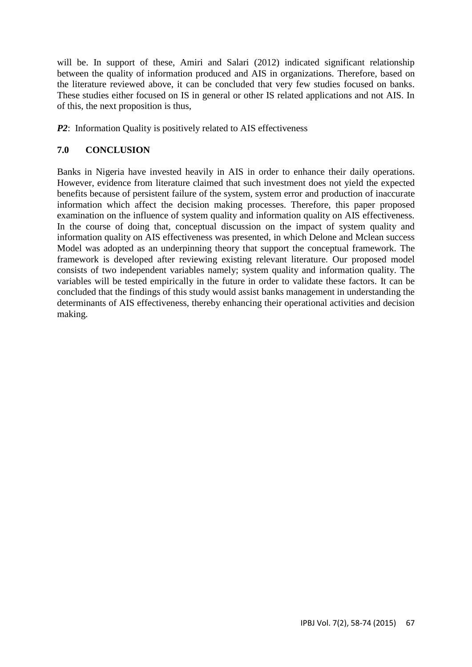will be. In support of these, Amiri and Salari (2012) indicated significant relationship between the quality of information produced and AIS in organizations. Therefore, based on the literature reviewed above, it can be concluded that very few studies focused on banks. These studies either focused on IS in general or other IS related applications and not AIS. In of this, the next proposition is thus,

*P2*: Information Quality is positively related to AIS effectiveness

## **7.0 CONCLUSION**

Banks in Nigeria have invested heavily in AIS in order to enhance their daily operations. However, evidence from literature claimed that such investment does not yield the expected benefits because of persistent failure of the system, system error and production of inaccurate information which affect the decision making processes. Therefore, this paper proposed examination on the influence of system quality and information quality on AIS effectiveness. In the course of doing that, conceptual discussion on the impact of system quality and information quality on AIS effectiveness was presented, in which Delone and Mclean success Model was adopted as an underpinning theory that support the conceptual framework. The framework is developed after reviewing existing relevant literature. Our proposed model consists of two independent variables namely; system quality and information quality. The variables will be tested empirically in the future in order to validate these factors. It can be concluded that the findings of this study would assist banks management in understanding the determinants of AIS effectiveness, thereby enhancing their operational activities and decision making.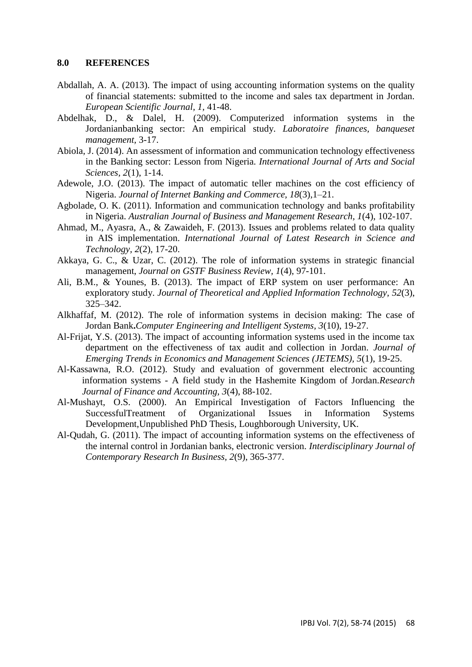#### **8.0 REFERENCES**

- Abdallah, A. A. (2013). The impact of using accounting information systems on the quality of financial statements: submitted to the income and sales tax department in Jordan*. European Scientific Journal, 1,* 41-48.
- Abdelhak, D., & Dalel, H. (2009). Computerized information systems in the Jordanianbanking sector: An empirical study. *Laboratoire finances, banqueset management,* 3-17.
- Abiola, J. (2014). An assessment of information and communication technology effectiveness in the Banking sector: Lesson from Nigeria. *International Journal of Arts and Social Sciences, 2*(1), 1-14.
- Adewole, J.O. (2013). The impact of automatic teller machines on the cost efficiency of Nigeria. *Journal of Internet Banking and Commerce, 18*(3),1–21.
- Agbolade, O. K. (2011). Information and communication technology and banks profitability in Nigeria. *Australian Journal of Business and Management Research, 1*(4), 102-107.
- Ahmad, M., Ayasra, A., & Zawaideh, F. (2013). Issues and problems related to data quality in AIS implementation. *International Journal of Latest Research in Science and Technology, 2*(2), 17-20.
- Akkaya, G. C., & Uzar, C. (2012). The role of information systems in strategic financial management, *Journal on GSTF Business Review, 1*(4), 97-101.
- Ali, B.M., & Younes, B. (2013). The impact of ERP system on user performance: An exploratory study. *Journal of Theoretical and Applied Information Technology, 52*(3), 325–342.
- Alkhaffaf, M. (2012). The role of information systems in decision making: The case of Jordan Bank**.***Computer Engineering and Intelligent Systems, 3*(10), 19-27.
- Al-Frijat, Y.S. (2013). The impact of accounting information systems used in the income tax department on the effectiveness of tax audit and collection in Jordan. *Journal of Emerging Trends in Economics and Management Sciences (JETEMS), 5*(1), 19-25.
- Al-Kassawna, R.O. (2012). Study and evaluation of government electronic accounting information systems - A field study in the Hashemite Kingdom of Jordan.*Research Journal of Finance and Accounting, 3*(4), 88-102.
- Al-Mushayt, O.S. (2000). An Empirical Investigation of Factors Influencing the SuccessfulTreatment of Organizational Issues in Information Systems Development,Unpublished PhD Thesis, Loughborough University, UK.
- Al-Qudah, G. (2011). The impact of accounting information systems on the effectiveness of the internal control in Jordanian banks, electronic version. *Interdisciplinary Journal of Contemporary Research In Business, 2*(9), 365-377.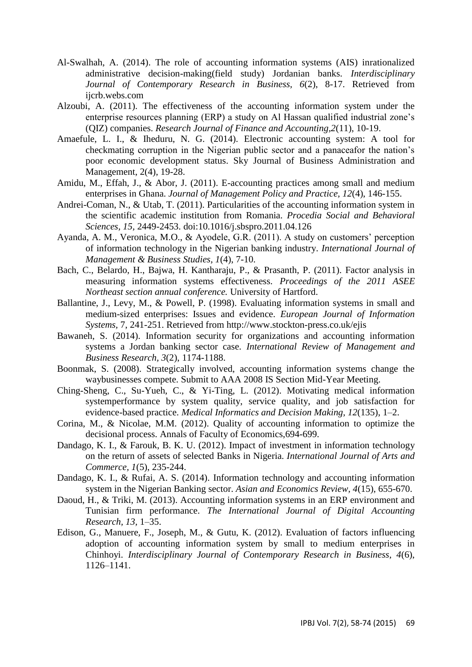- Al-Swalhah, A. (2014). The role of accounting information systems (AIS) inrationalized administrative decision-making(field study) Jordanian banks. *Interdisciplinary Journal of Contemporary Research in Business, 6*(2), 8-17. Retrieved from ijcrb.webs.com
- Alzoubi, A. (2011). The effectiveness of the accounting information system under the enterprise resources planning (ERP) a study on Al Hassan qualified industrial zone's (QIZ) companies. *Research Journal of Finance and Accounting,2*(11), 10-19.
- Amaefule, L. I., & Iheduru, N. G. (2014). Electronic accounting system: A tool for checkmating corruption in the Nigerian public sector and a panaceafor the nation's poor economic development status. Sky Journal of Business Administration and Management, 2(4), 19-28.
- Amidu, M., Effah, J., & Abor, J. (2011). E-accounting practices among small and medium enterprises in Ghana. *Journal of Management Policy and Practice, 12*(4), 146-155.
- Andrei-Coman, N., & Utab, T. (2011). Particularities of the accounting information system in the scientific academic institution from Romania. *Procedia Social and Behavioral Sciences, 15,* 2449-2453. doi:10.1016/j.sbspro.2011.04.126
- Ayanda, A. M., Veronica, M.O., & Ayodele, G.R. (2011). A study on customers' perception of information technology in the Nigerian banking industry. *International Journal of Management & Business Studies, 1*(4), 7-10.
- Bach, C., Belardo, H., Bajwa, H. Kantharaju, P., & Prasanth, P. (2011). Factor analysis in measuring information systems effectiveness. *Proceedings of the 2011 ASEE Northeast section annual conference.* University of Hartford.
- Ballantine, J., Levy, M., & Powell, P. (1998). Evaluating information systems in small and medium-sized enterprises: Issues and evidence. *European Journal of Information Systems,* 7, 241-251. Retrieved from http://www.stockton-press.co.uk/ejis
- Bawaneh, S. (2014). Information security for organizations and accounting information systems a Jordan banking sector case*. International Review of Management and Business Research, 3*(2), 1174-1188.
- Boonmak, S. (2008). Strategically involved, accounting information systems change the waybusinesses compete. Submit to AAA 2008 IS Section Mid-Year Meeting.
- Ching-Sheng, C., Su-Yueh, C., & Yi-Ting, L. (2012). Motivating medical information systemperformance by system quality, service quality, and job satisfaction for evidence-based practice. *Medical Informatics and Decision Making, 12*(135), 1–2.
- Corina, M., & Nicolae, M.M. (2012). Quality of accounting information to optimize the decisional process. Annals of Faculty of Economics,694-699.
- Dandago, K. I., & Farouk, B. K. U. (2012). Impact of investment in information technology on the return of assets of selected Banks in Nigeria. *International Journal of Arts and Commerce, 1*(5), 235-244.
- Dandago, K. I., & Rufai, A. S. (2014). Information technology and accounting information system in the Nigerian Banking sector. *Asian and Economics Review, 4*(15), 655-670.
- Daoud, H., & Triki, M. (2013). Accounting information systems in an ERP environment and Tunisian firm performance. *The International Journal of Digital Accounting Research, 13,* 1–35.
- Edison, G., Manuere, F., Joseph, M., & Gutu, K. (2012). Evaluation of factors influencing adoption of accounting information system by small to medium enterprises in Chinhoyi. *Interdisciplinary Journal of Contemporary Research in Business, 4*(6), 1126–1141.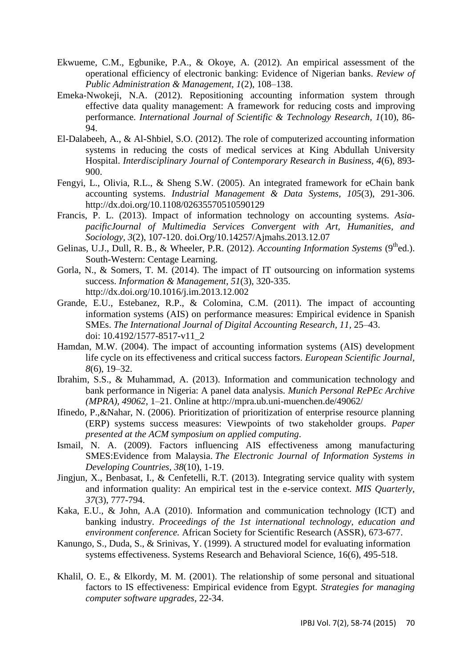- Ekwueme, C.M., Egbunike, P.A., & Okoye, A. (2012). An empirical assessment of the operational efficiency of electronic banking: Evidence of Nigerian banks. *Review of Public Administration & Management, 1*(2), 108–138.
- Emeka-Nwokeji, N.A. (2012). Repositioning accounting information system through effective data quality management: A framework for reducing costs and improving performance. *International Journal of Scientific & Technology Research, 1*(10), 86- 94.
- El-Dalabeeh, A., & Al-Shbiel, S.O. (2012). The role of computerized accounting information systems in reducing the costs of medical services at King Abdullah University Hospital. *Interdisciplinary Journal of Contemporary Research in Business, 4*(6), 893- 900.
- Fengyi, L., Olivia, R.L., & Sheng S.W. (2005). An integrated framework for eChain bank accounting systems. *Industrial Management & Data Systems, 105*(3), 291-306. <http://dx.doi.org/10.1108/02635570510590129>
- Francis, P. L. (2013). Impact of information technology on accounting systems. *AsiapacificJournal of Multimedia Services Convergent with Art, Humanities, and Sociology, 3*(2), 107-120. [doi.Org/10.14257/Ajmahs.2013.12.07](http://dx.doi.org/10.14257/AJMAHS.2013.12.07)
- Gelinas, U.J., Dull, R. B., & Wheeler, P.R. (2012). *Accounting Information Systems* (9<sup>th</sup>ed.). South-Western: Centage Learning.
- Gorla, N., & Somers, T. M. (2014). The impact of IT outsourcing on information systems success. *Information & Management*, *51*(3), 320-335. http://dx.doi.org/10.1016/j.im.2013.12.002
- Grande, E.U., Estebanez, R.P., & Colomina, C.M. (2011). The impact of accounting information systems (AIS) on performance measures: Empirical evidence in Spanish SMEs. *The International Journal of Digital Accounting Research, 11,* 25–43. doi: 10.4192/1577-8517-v11\_2
- Hamdan, M.W. (2004). The impact of accounting information systems (AIS) development life cycle on its effectiveness and critical success factors. *European Scientific Journal, 8*(6), 19–32.
- Ibrahim, S.S., & Muhammad, A. (2013). Information and communication technology and bank performance in Nigeria: A panel data analysis*. Munich Personal RePEc Archive (MPRA), 49062,* 1–21. Online at http://mpra.ub.uni-muenchen.de/49062/
- Ifinedo, P.,&Nahar, N. (2006). Prioritization of prioritization of enterprise resource planning (ERP) systems success measures: Viewpoints of two stakeholder groups. *Paper presented at the ACM symposium on applied computing*.
- Ismail, N. A. (2009). Factors influencing AIS effectiveness among manufacturing SMES:Evidence from Malaysia. *The Electronic Journal of Information Systems in Developing Countries*, *38*(10), 1-19.
- Jingjun, X., Benbasat, I., & Cenfetelli, R.T. (2013). Integrating service quality with system and information quality: An empirical test in the e-service context. *MIS Quarterly, 37*(3), 777-794.
- Kaka, E.U., & John, A.A (2010). Information and communication technology (ICT) and banking industry. *Proceedings of the 1st international technology, education and environment conference.* African Society for Scientific Research (ASSR), 673-677.
- Kanungo, S., Duda, S., & Srinivas, Y. (1999). A structured model for evaluating information systems effectiveness. Systems Research and Behavioral Science, 16(6), 495-518.
- Khalil, O. E., & Elkordy, M. M. (2001). The relationship of some personal and situational factors to IS effectiveness: Empirical evidence from Egypt. *Strategies for managing computer software upgrades*, 22-34.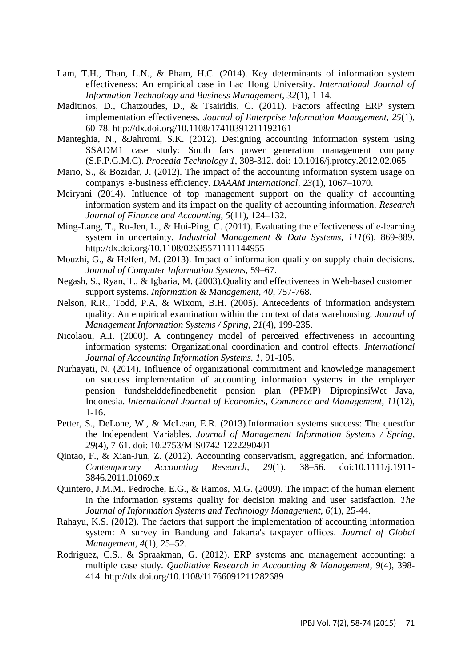- Lam, T.H., Than, L.N., & Pham, H.C. (2014). Key determinants of information system effectiveness: An empirical case in Lac Hong University. *International Journal of Information Technology and Business Management, 32*(1), 1-14.
- Maditinos, D., Chatzoudes, D., & Tsairidis, C. (2011). Factors affecting ERP system implementation effectiveness. *Journal of Enterprise Information Management, 25*(1), 60-78. http://dx.doi.org/10.1108/17410391211192161
- Manteghia, N., &Jahromi, S.K. (2012). Designing accounting information system using SSADM1 case study: South fars power generation management company (S.F.P.G.M.C). *Procedia Technology 1*, 308-312. doi: 10.1016/j.protcy.2012.02.065
- Mario, S., & Bozidar, J. (2012). The impact of the accounting information system usage on companys' e-business efficiency. *DAAAM International, 23*(1), 1067–1070.
- Meiryani (2014). Influence of top management support on the quality of accounting information system and its impact on the quality of accounting information. *Research Journal of Finance and Accounting, 5*(11), 124–132.
- Ming-Lang, T., Ru-Jen, L., & Hui-Ping, C. (2011). Evaluating the effectiveness of e-learning system in uncertainty. *Industrial Management & Data Systems, 111*(6), 869-889. http://dx.doi.org/10.1108/02635571111144955
- Mouzhi, G., & Helfert, M. (2013). Impact of information quality on supply chain decisions. *Journal of Computer Information Systems,* 59–67.
- Negash, S., Ryan, T., & Igbaria, M. (2003).Quality and effectiveness in Web-based customer support systems. *Information & Management, 40,* 757-768.
- Nelson, R.R., Todd, P.A, & Wixom, B.H. (2005). Antecedents of information andsystem quality: An empirical examination within the context of data warehousing. *Journal of Management Information Systems / Spring, 21*(4), 199-235.
- Nicolaou, A.I. (2000). A contingency model of perceived effectiveness in accounting information systems: Organizational coordination and control effects. *International Journal of Accounting Information Systems. 1*, 91-105.
- Nurhayati, N. (2014). Influence of organizational commitment and knowledge management on success implementation of accounting information systems in the employer pension fundshelddefinedbenefit pension plan (PPMP) DipropinsiWet Java, Indonesia. *International Journal of Economics, Commerce and Management, 11*(12), 1-16.
- Petter, S., DeLone, W., & McLean, E.R. (2013).Information systems success: The questfor the Independent Variables. *Journal of Management Information Systems / Spring, 29*(4), 7-61. doi: 10.2753/MIS0742-1222290401
- Qintao, F., & Xian-Jun, Z. (2012). Accounting conservatism, aggregation, and information. *Contemporary Accounting Research, 29*(1). 38–56. doi:10.1111/j.1911- 3846.2011.01069.x
- Quintero, J.M.M., Pedroche, E.G., & Ramos, M.G. (2009). The impact of the human element in the information systems quality for decision making and user satisfaction. *The Journal of Information Systems and Technology Management, 6*(1), 25-44.
- Rahayu, K.S. (2012). The factors that support the implementation of accounting information system: A survey in Bandung and Jakarta's taxpayer offices. *Journal of Global Management, 4*(1), 25–52.
- Rodriguez, C.S., & Spraakman, G. (2012). ERP systems and management accounting: a multiple case study. *Qualitative Research in Accounting & Management, 9*(4), 398- 414.<http://dx.doi.org/10.1108/11766091211282689>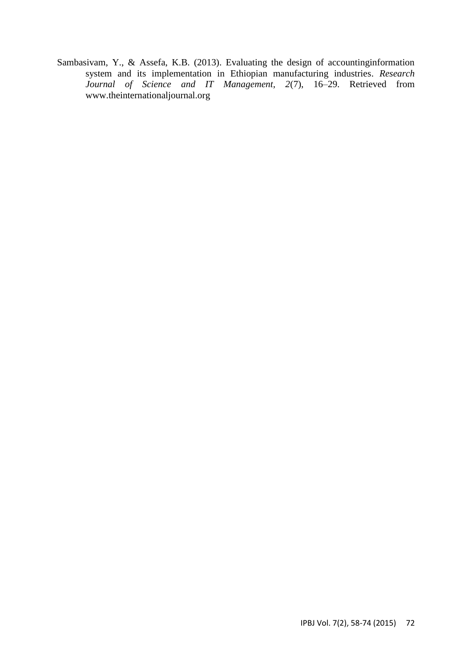Sambasivam, Y., & Assefa, K.B. (2013). Evaluating the design of accountinginformation system and its implementation in Ethiopian manufacturing industries. *Research Journal of Science and IT Management, 2*(7), 16–29. Retrieved from www.theinternationaljournal.org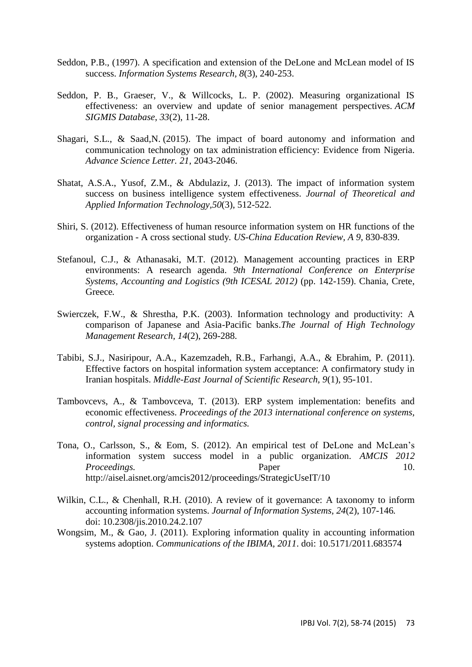- Seddon, P.B., (1997). A specification and extension of the DeLone and McLean model of IS success. *Information Systems Research, 8*(3), 240-253.
- Seddon, P. B., Graeser, V., & Willcocks, L. P. (2002). Measuring organizational IS effectiveness: an overview and update of senior management perspectives. *ACM SIGMIS Database*, *33*(2), 11-28.
- Shagari, S.L., & Saad,N. (2015). The impact of board autonomy and information and communication technology on tax administration efficiency: Evidence from Nigeria. *Advance Science Letter. 21,* 2043-2046.
- Shatat, A.S.A., Yusof, Z.M., & Abdulaziz, J. (2013). The impact of information system success on business intelligence system effectiveness. *Journal of Theoretical and Applied Information Technology,50*(3), 512-522.
- Shiri, S. (2012). Effectiveness of human resource information system on HR functions of the organization - A cross sectional study*. US-China Education Review, A 9*, 830-839.
- Stefanoul, C.J., & Athanasaki, M.T. (2012). Management accounting practices in ERP environments: A research agenda. *9th International Conference on Enterprise Systems, Accounting and Logistics (9th ICESAL 2012)* (pp. 142-159). Chania, Crete, Greece*.*
- Swierczek, F.W., & Shrestha, P.K. (2003). Information technology and productivity: A comparison of Japanese and Asia-Pacific banks.*The Journal of High Technology Management Research, 14*(2), 269-288.
- Tabibi, S.J., Nasiripour, A.A., Kazemzadeh, R.B., Farhangi, A.A., & Ebrahim, P. (2011). Effective factors on hospital information system acceptance: A confirmatory study in Iranian hospitals. *Middle-East Journal of Scientific Research, 9*(1), 95-101.
- Tambovcevs, A., & Tambovceva, T. (2013). ERP system implementation: benefits and economic effectiveness. *Proceedings of the 2013 international conference on systems, control, signal processing and informatics.*
- Tona, O., Carlsson, S., & Eom, S. (2012). An empirical test of DeLone and McLean's information system success model in a public organization. *AMCIS 2012 Proceedings.* Paper 20. http://aisel.aisnet.org/amcis2012/proceedings/StrategicUseIT/10
- Wilkin, C.L., & Chenhall, R.H. (2010). A review of it governance: A taxonomy to inform accounting information systems. *Journal of Information Systems, 24*(2), 107-146*.* doi: 10.2308/jis.2010.24.2.107
- Wongsim, M., & Gao, J. (2011). Exploring information quality in accounting information systems adoption. *Communications of the IBIMA, 2011*. doi: 10.5171/2011.683574